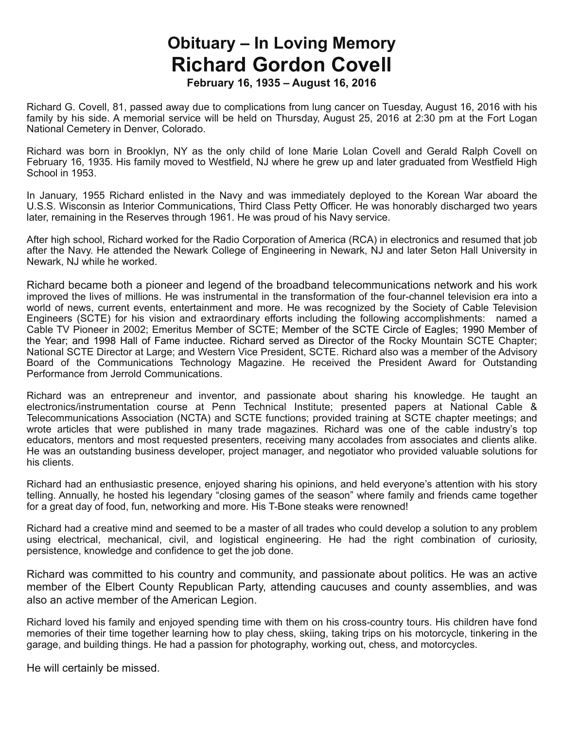## **Obituary – In Loving Memory Richard Gordon Covell**

**February 16, 1935 – August 16, 2016**

Richard G. Covell, 81, passed away due to complications from lung cancer on Tuesday, August 16, 2016 with his family by his side. A memorial service will be held on Thursday, August 25, 2016 at 2:30 pm at the Fort Logan National Cemetery in Denver, Colorado.

Richard was born in Brooklyn, NY as the only child of Ione Marie Lolan Covell and Gerald Ralph Covell on February 16, 1935. His family moved to Westfield, NJ where he grew up and later graduated from Westfield High School in 1953.

In January, 1955 Richard enlisted in the Navy and was immediately deployed to the Korean War aboard the U.S.S. Wisconsin as Interior Communications, Third Class Petty Officer. He was honorably discharged two years later, remaining in the Reserves through 1961. He was proud of his Navy service.

After high school, Richard worked for the Radio Corporation of America (RCA) in electronics and resumed that job after the Navy. He attended the Newark College of Engineering in Newark, NJ and later Seton Hall University in Newark, NJ while he worked.

Richard became both a pioneer and legend of the broadband telecommunications network and his work improved the lives of millions. He was instrumental in the transformation of the four-channel television era into a world of news, current events, entertainment and more. He was recognized by the Society of Cable Television Engineers (SCTE) for his vision and extraordinary efforts including the following accomplishments: named a Cable TV Pioneer in 2002; Emeritus Member of SCTE; Member of the SCTE Circle of Eagles; 1990 Member of the Year; and 1998 Hall of Fame inductee. Richard served as Director of the Rocky Mountain SCTE Chapter; National SCTE Director at Large; and Western Vice President, SCTE. Richard also was a member of the Advisory Board of the Communications Technology Magazine. He received the President Award for Outstanding Performance from Jerrold Communications.

Richard was an entrepreneur and inventor, and passionate about sharing his knowledge. He taught an electronics/instrumentation course at Penn Technical Institute; presented papers at National Cable & Telecommunications Association (NCTA) and SCTE functions; provided training at SCTE chapter meetings; and wrote articles that were published in many trade magazines. Richard was one of the cable industry's top educators, mentors and most requested presenters, receiving many accolades from associates and clients alike. He was an outstanding business developer, project manager, and negotiator who provided valuable solutions for his clients.

Richard had an enthusiastic presence, enjoyed sharing his opinions, and held everyone's attention with his story telling. Annually, he hosted his legendary "closing games of the season" where family and friends came together for a great day of food, fun, networking and more. His T-Bone steaks were renowned!

Richard had a creative mind and seemed to be a master of all trades who could develop a solution to any problem using electrical, mechanical, civil, and logistical engineering. He had the right combination of curiosity, persistence, knowledge and confidence to get the job done.

Richard was committed to his country and community, and passionate about politics. He was an active member of the Elbert County Republican Party, attending caucuses and county assemblies, and was also an active member of the American Legion.

Richard loved his family and enjoyed spending time with them on his cross-country tours. His children have fond memories of their time together learning how to play chess, skiing, taking trips on his motorcycle, tinkering in the garage, and building things. He had a passion for photography, working out, chess, and motorcycles.

He will certainly be missed.